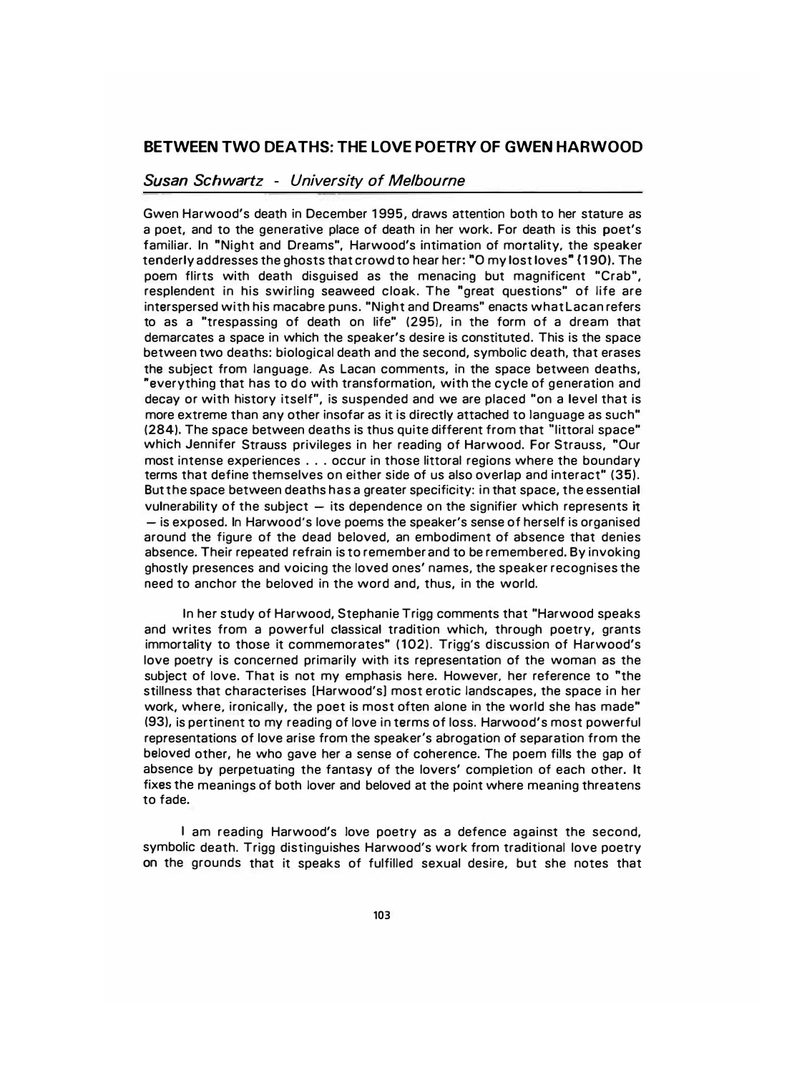## BETWEEN TWO DEATHS: THE LOVE POETRY OF GWEN HARWOOD

## Susan Schwartz - University of Melbourne

Gwen Harwood's death in December 1 995, draws attention both to her stature as a poet, and to the generative place of death in her work. For death is this poet's familiar. In "Night and Dreams", Harwood's intimation of mortality. the speaker tenderly addresses the ghosts that crowd to hear her: "0 my lost loves" (1 90). The poem flirts with death disguised as the menacing but magnificent "Crab", resplendent in his swirling seaweed cloak. The "great questions" of life are interspersed with his macabre puns. "Night and Dreams" enacts what Lacan refers to as a "trespassing of death on life" (295), in the form of a dream that demarcates a space in which the speaker's desire is constituted. This is the space between two deaths: biological death and the second, symbolic death, that erases the subject from language. As Lacan comments, in the space between deaths, "everything that has to do with transformation, with the cycle of generation and decay or with history itself", is suspended and we are placed "on a level that is more extreme than any other insofar as it is directly attached to language as such" (284). The space between deaths is thus quite different from that "littoral space" which Jennifer Strauss privileges in her reading of Harwood. For Strauss, "Our most intense experiences ... occur in those littoral regions where the boundary terms that define themselves on either side of us also overlap and interact" (35). But the space between deaths has a greater specificity: in that space, the essential vulnerability of the subject  $-$  its dependence on the signifier which represents it - is exposed. In Harwood's love poems the speaker's sense of herself is organised around the figure of the dead beloved, an embodiment of absence that denies absence. Their repeated refrain is to remember and to be remembered. By invoking ghostly presences and voicing the loved ones' names, the speaker recognises the need to anchor the beloved in the word and, thus, in the world.

In her study of Harwood, Stephanie Trigg comments that "Harwood speaks and writes from a powerful classical tradition which, through poetry, grants immortality to those it commemorates" (102). Trigg's discussion of Harwood's love poetry is concerned primarily with its representation of the woman as the subject of love. That is not my emphasis here. However. her reference to "the stillness that characterises [Harwood's] most erotic landscapes, the space in her work, where, ironically, the poet is most often alone in the world she has made" (93), is pertinent to my reading of love in terms of loss. Harwood's most powerful representations of love arise from the speaker's abrogation of separation from the beloved other, he who gave her a sense of coherence. The poem fills the gap of absence by perpetuating the fantasy of the lovers' completion of each other. It fixes the meanings of both lover and beloved at the point where meaning threatens to fade.

I am reading Harwood's love poetry as a defence against the second, symbolic death. Trigg distinguishes Harwood's work from traditional love poetry on the grounds that it speaks of fulfilled sexual desire, but she notes that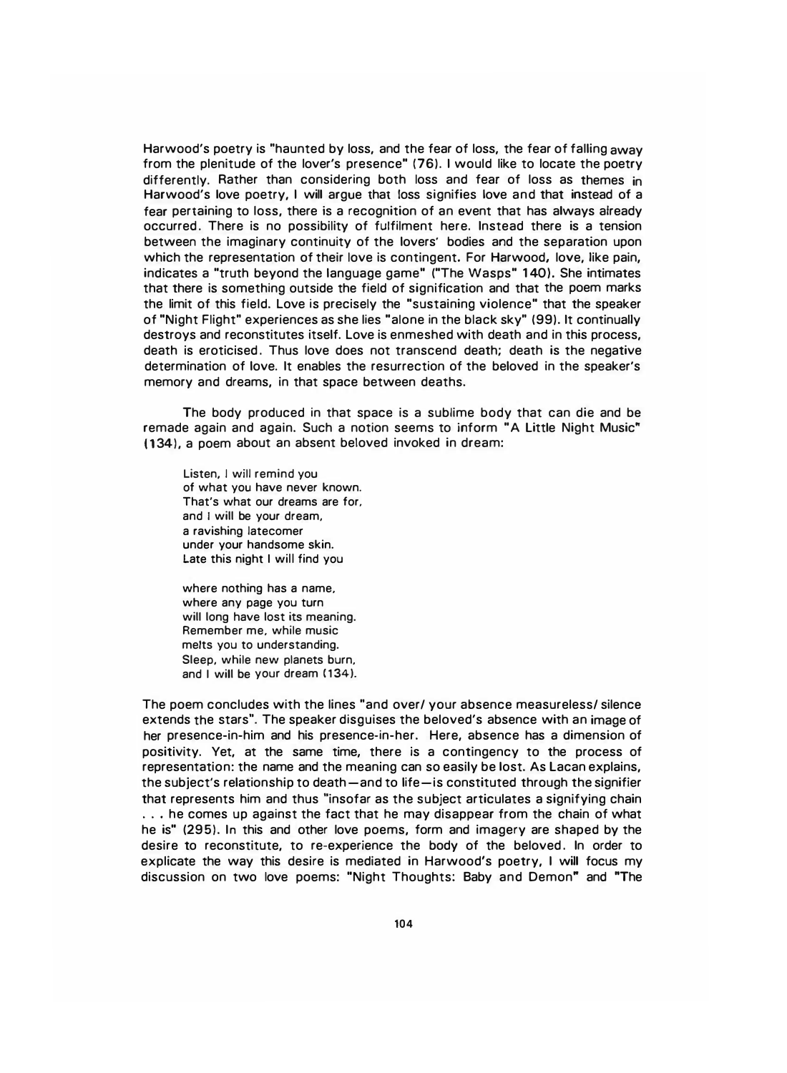Harwood's poetry is "haunted by loss, and the fear of loss, the fear of falling away from the plenitude of the lover's presence" (76). I would like to locate the poetry differently. Rather than considering both loss and fear of loss as themes in Harwood's love poetry, I will argue that loss signifies love and that instead of a fear pertaining to loss, there is a recognition of an event that has always already occurred. There is no possibility of fulfilment here. Instead there is a tension between the imaginary continuity of the lovers' bodies and the separation upon which the representation of their love is contingent. For Harwood, love, like pain, indicates a "truth beyond the language game" ("The Wasps" 1 40). She intimates that there is something outside the field of signification and that the poem marks the limit of this field. Love is precisely the "sustaining violence" that the speaker of "Night Flight" experiences as she lies "alone in the black sky" (99). It continually destroys and reconstitutes itself. Love is enmeshed with death and in this process, death is eroticised. Thus love does not transcend death; death is the negative determination of love. It enables the resurrection of the beloved in the speaker's memory and dreams, in that space between deaths.

The body produced in that space is a sublime body that can die and be remade again and again. Such a notion seems to inform "A Little Night Music" (134), a poem about an absent beloved invoked in dream:

Listen, I will remind you of what you have never known. That's what our dreams are for. and I will be your dream, a ravishing latecomer under your handsome skin. Late this night I will find you

where nothing has a name, where any page you turn will long have lost its meaning. Remember me, while music melts you to understanding. Sleep, while new planets burn, and I will be your dream (134).

The poem concludes with the lines "and over/ your absence measureless/ silence extends the stars". The speaker disguises the beloved's absence with an image of her presence-in-him and his presence-in-her. Here, absence has a dimension of positivity. Yet, at the same time, there is a contingency to the process of representation: the name and the meaning can so easily be lost. As Lacan explains, the subject's relationship to death - and to life-is constituted through the signifier that represents him and thus "insofar as the subject articulates a signifying chain ... he comes up against the fact that he may disappear from the chain of what he is" (295). In this and other love poems, form and imagery are shaped by the desire to reconstitute, to re-experience the body of the beloved . In order to explicate the way this desire is mediated in Harwood's poetry, I will focus my discussion on two love poems: "Night Thoughts: Baby and Demon" and "The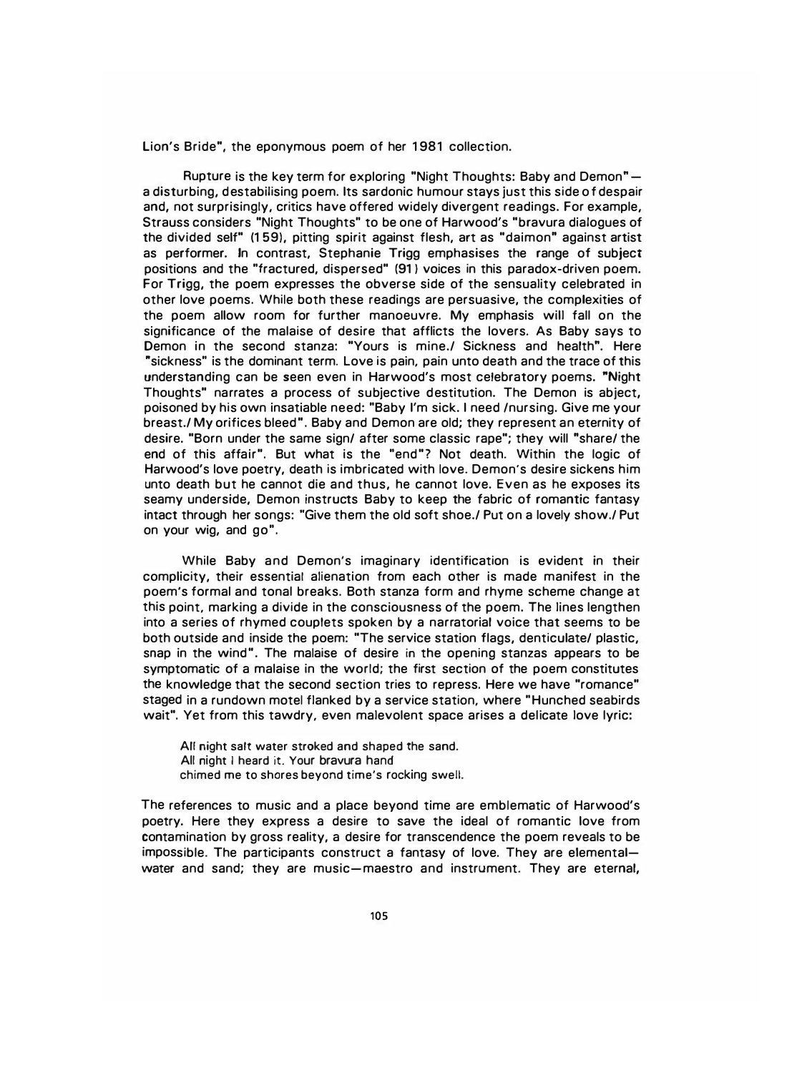Lion's Bride", the eponymous poem of her 1981 collection.

Rupture is the key term for exploring "Night Thoughts: Baby and Demon" a disturbing, destabilising poem. Its sardonic humour stays just this side of despair and, not surprisingly, critics have offered widely divergent readings. For example, Strauss considers "Night Thoughts" to be one of Harwood's "bravura dialogues of the divided self" (1 59), pitting spirit against flesh, art as "daimon" against artist as performer. In contrast, Stephanie Trigg emphasises the range of subject positions and the "fractured, dispersed" (91) voices in this paradox-driven poem. For Trigg, the poem expresses the obverse side of the sensuality celebrated in other love poems. While both these readings are persuasive, the complexities of the poem allow room for further manoeuvre. My emphasis will fall on the significance of the malaise of desire that afflicts the lovers. As Baby says to Demon in the second stanza: "Yours is mine./ Sickness and health". Here "sickness" is the dominant term. Love is pain, pain unto death and the trace of this understanding can be seen even in Harwood's most celebratory poems. "Night Thoughts" narrates a process of subjective destitution. The Demon is abject, poisoned by his own insatiable need: "Baby I'm sick. I need /nursing. Give me your breast./ My orifices bleed". Baby and Demon are old; they represent an eternity of desire. "Born under the same sign/ after some classic rape"; they will "share/ the end of this affair". But what is the "end"? Not death. Within the logic of Harwood's love poetry, death is imbricated with love. Demon's desire sickens him unto death but he cannot die and thus, he cannot love. Even as he exposes its seamy underside, Demon instructs Baby to keep the fabric of romantic fantasy intact through her songs: "Give them the old soft shoe./ Put on a lovely show./ Put on your wig, and go".

While Baby and Demon's imaginary identification is evident in their complicity, their essential alienation from each other is made manifest in the poem's formal and tonal breaks. Both stanza form and rhyme scheme change at this point, marking a divide in the consciousness of the poem. The lines lengthen into a series of rhymed couplets spoken by a narratorial voice that seems to be both outside and inside the poem: "The service station flags, denticulate/ plastic, snap in the wind". The malaise of desire in the opening stanzas appears to be symptomatic of a malaise in the world; the first section of the poem constitutes the knowledge that the second section tries to repress. Here we have "romance" staged in a rundown motel flanked by a service station, where "Hunched seabirds wait". Yet from this tawdry, even malevolent space arises a delicate love lyric:

All night salt water stroked and shaped the sand. All night I heard it. Your bravura hand chimed me to shores beyond time's rocking swell.

The references to music and a place beyond time are emblematic of Harwood's poetry. Here they express a desire to save the ideal of romantic love from contamination by gross reality, a desire for transcendence the poem reveals to be impossible. The participants construct a fantasy of love. They are elementalwater and sand; they are music-maestro and instrument. They are eternal,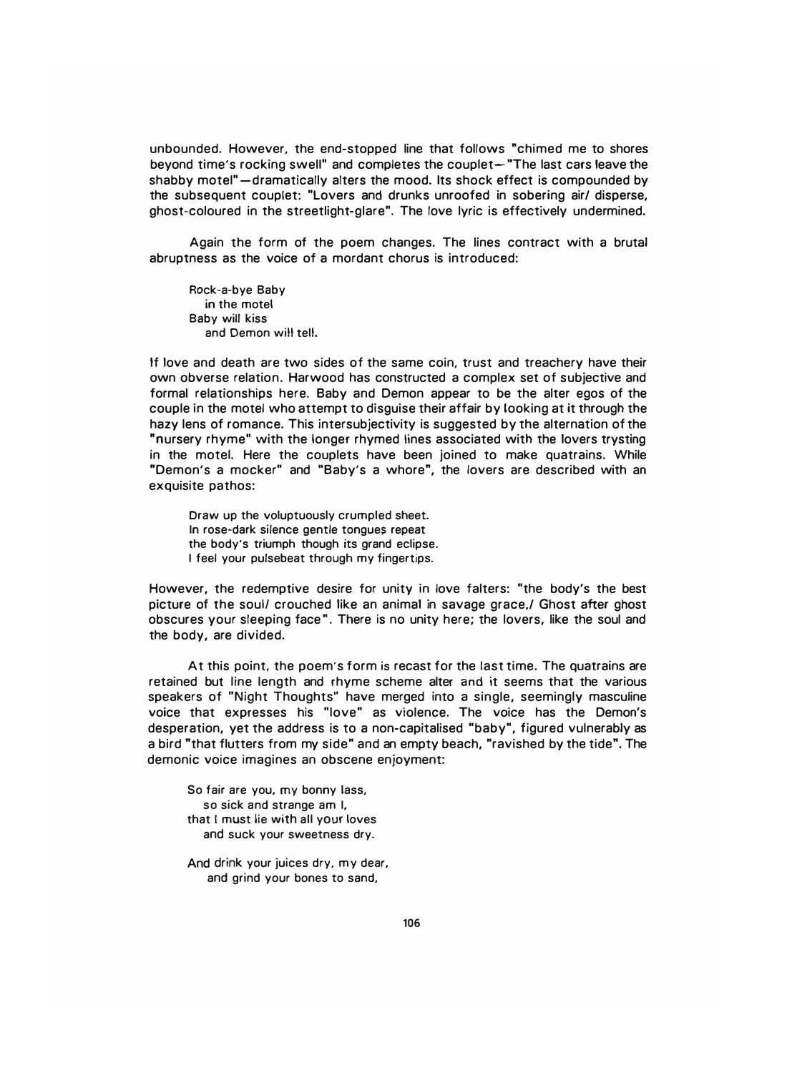unbounded. However. the end-stopped line that follows "chimed me to shores beyond time's rocking swell" and completes the couplet- "The last cars leave the shabby motel" - dramatically alters the mood. Its shock effect is compounded by the subsequent couplet: "Lovers and drunks unroofed in sobering air/ disperse, ghost-coloured in the streetlight-glare". The love lyric is effectively undermined.

Again the form of the poem changes. The lines contract with a brutal abruptness as the voice of a mordant chorus is introduced:

Rock-a-bye Baby in the motel Baby will kiss and Demon will tell.

If love and death are two sides of the same coin, trust and treachery have their own obverse relation. Harwood has constructed a complex set of subjective and formal relationships here. Baby and Demon appear to be the alter egos of the couple in the motel who attempt to disguise their affair by looking at it through the hazy lens of romance. This intersubjectivity is suggested by the alternation of the "nursery rhyme" with the longer rhymed lines associated with the lovers trysting in the motel. Here the couplets have been joined to make quatrains. While "Demon's a mocker" and "Baby's a whore", the lovers are described with an exquisite pathos:

Draw up the voluptuously crumpled sheet. In rose-dark silence gentle tongues repeat the body's triumph though its grand eclipse. I feel your pulsebeat through my fingertips.

However, the redemptive desire for unity in love falters: "the body's the best picture of the soul/ crouched like an animal in savage grace./ Ghost after ghost obscures your sleeping face". There is no unity here; the lovers, like the soul and the body, are divided.

At this point, the poem's form is recast for the last time. The quatrains are retained but line length and rhyme scheme alter and it seems that the various speakers of "Night Thoughts" have merged into a single, seemingly masculine voice that expresses his "love" as violence. The voice has the Demon's desperation, yet the address is to a non-capitalised "baby", figured vulnerably as a bird "that flutters from my side" and an empty beach, "ravished by the tide". The demonic voice imagines an obscene enjoyment:

So fair are you, my bonny lass, so sick and strange am I, that I must lie with all your loves and suck your sweetness dry.

And drink your juices dry, my dear, and grind your bones to sand,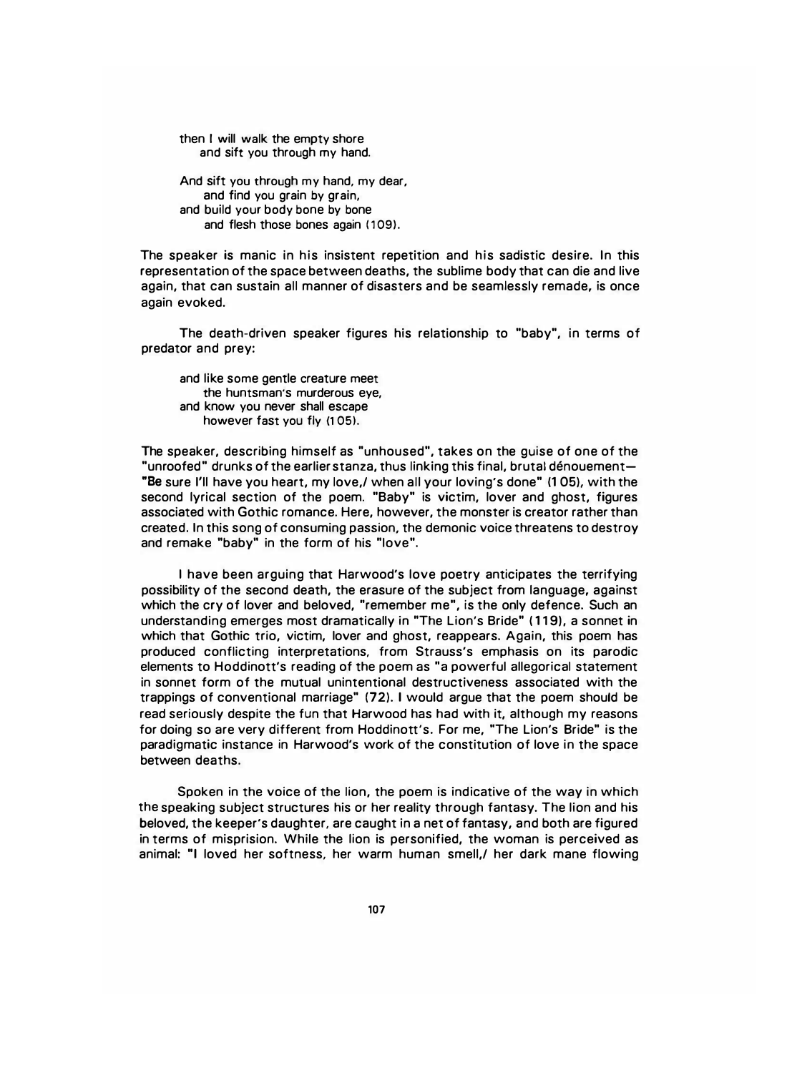then I will walk the empty shore and sift you through my hand.

And sift you through my hand, my dear, and find you grain by grain, and build your body bone by bone and flesh those bones again (109).

The speaker is manic in his insistent repetition and his sadistic desire. In this representation of the space between deaths, the sublime body that can die and live again, that can sustain all manner of disasters and be seamlessly remade, is once again evoked.

The death-driven speaker figures his relationship to "baby", in terms of predator and prey:

and like some gentle creature meet the huntsman's murderous eye, and know you never shall escape however fast you fly (105).

The speaker, describing himself as "unhoused", takes on the guise of one of the "unroofed" drunks of the earlier stanza, thus linking this final, brutal denouement "Be sure I'll have you heart, my love,/ when all your loving's done" (1 05). with the second lyrical section of the poem. "Baby" is victim, lover and ghost, figures associated with Gothic romance. Here, however, the monster is creator rather than created. In this song of consuming passion, the demonic voice threatens to destroy and remake "baby" in the form of his "love".

I have been arguing that Harwood's love poetry anticipates the terrifying possibility of the second death, the erasure of the subject from language, against which the cry of lover and beloved, "remember me", is the only defence. Such an understanding emerges most dramatically in "The Lion's Bride" (119). a sonnet in which that Gothic trio, victim, lover and ghost, reappears. Again, this poem has produced conflicting interpretations, from Strauss's emphasis on its parodic elements to Hoddinott's reading of the poem as "a powerful allegorical statement in sonnet form of the mutual unintentional destructiveness associated with the trappings of conventional marriage" (72). I would argue that the poem should be read seriously despite the fun that Harwood has had with it, although my reasons for doing so are very different from Hoddinott's. For me, "The Lion's Bride" is the paradigmatic instance in Harwood's work of the constitution of love in the space between deaths.

Spoken in the voice of the lion, the poem is indicative of the way in which the speaking subject structures his or her reality through fantasy. The lion and his beloved, the keeper's daughter, are caught in a net of fantasy, and both are figured in terms of misprision. While the lion is personified, the woman is perceived as animal: "I loved her softness, her warm human smell,/ her dark mane flowing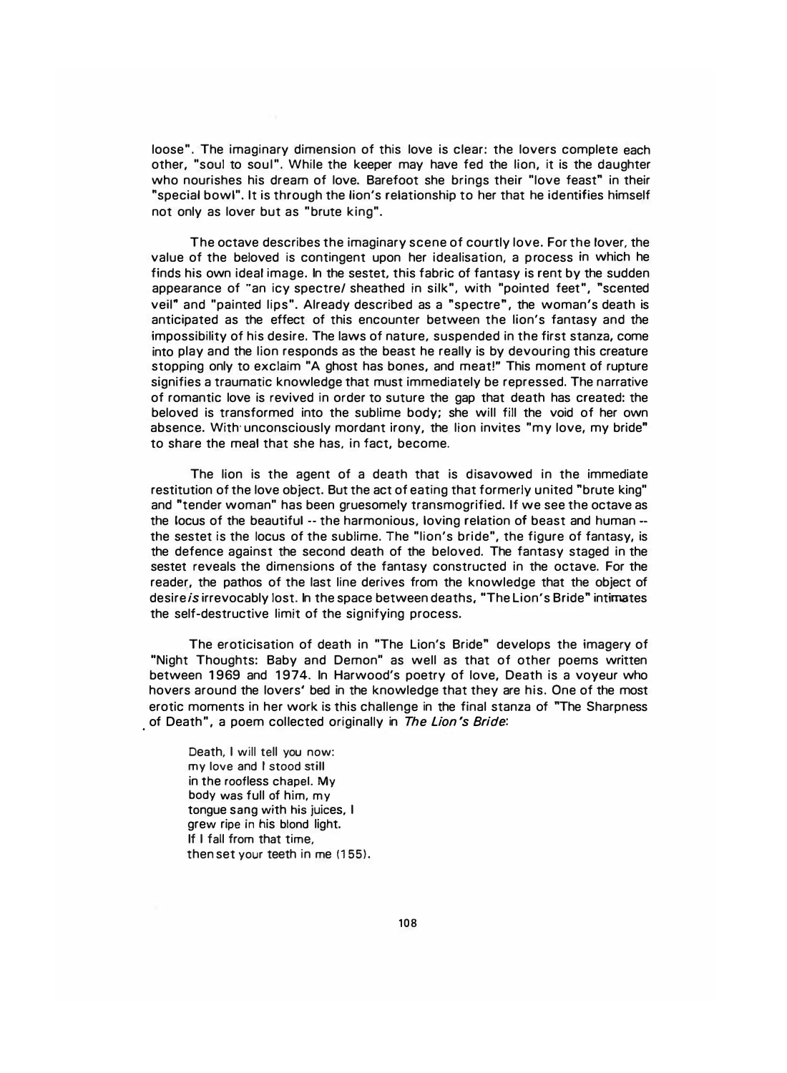loose". The imaginary dimension of this love is clear: the lovers complete each other, "soul to soul". While the keeper may have fed the lion, it is the daughter who nourishes his dream of love. Barefoot she brings their "love feast" in their "special bowl". It is through the lion's relationship to her that he identifies himself not only as lover but as "brute king".

The octave describes the imaginary scene of courtly love. For the lover, the value of the beloved is contingent upon her idealisation, a process in which he finds his own ideal image. In the sestet. this fabric of fantasy is rent by the sudden appearance of "an icy spectre/ sheathed in silk", with "pointed feet", "scented veil" and "painted lips". Already described as a "spectre", the woman's death is anticipated as the effect of this encounter between the lion's fantasy and the impossibility of his desire. The laws of nature. suspended in the first stanza, come into play and the lion responds as the beast he really is by devouring this creature stopping only to exclaim "A ghost has bones, and meat!" This moment of rupture signifies a traumatic knowledge that must immediately be repressed. The narrative of romantic love is revived in order to suture the gap that death has created: the beloved is transformed into the sublime body; she will fill the void of her own absence. With· unconsciously mordant irony, the lion invites "my love, my bride" to share the meal that she has. in fact, become.

The lion is the agent of a death that is disavowed in the immediate restitution of the love object. But the act of eating that formerly united "brute king" and "tender woman" has been gruesomely transmogrified. If we see the octave as the locus of the beautiful -- the harmonious, loving relation of beast and human -the sestet is the locus of the sublime. The "lion's bride", the figure of fantasy, is the defence against the second death of the beloved. The fantasy staged in the sestet reveals the dimensions of the fantasy constructed in the octave. For the reader, the pathos of the last line derives from the knowledge that the object of desire is irrevocably lost. In the space between deaths, "The Lion's Bride" intimates the self-destructive limit of the signifying process.

The eroticisation of death in "The Lion's Bride" develops the imagery of "Night Thoughts: Baby and Demon" as well as that of other poems written between 1969 and 1974. In Harwood's poetry of love, Death is a voyeur who hovers around the lovers' bed in the knowledge that they are his. One of the most erotic moments in her work is this challenge in the final stanza of "The Sharpness of Death", a poem collected originally in *The Lion's Bride*:

Death, I will tell you now: my love and I stood still in the roofless chapel. My body was full of him, my tongue sang with his juices, I grew ripe in his blond light. If I fall from that time, then set your teeth in me (155).